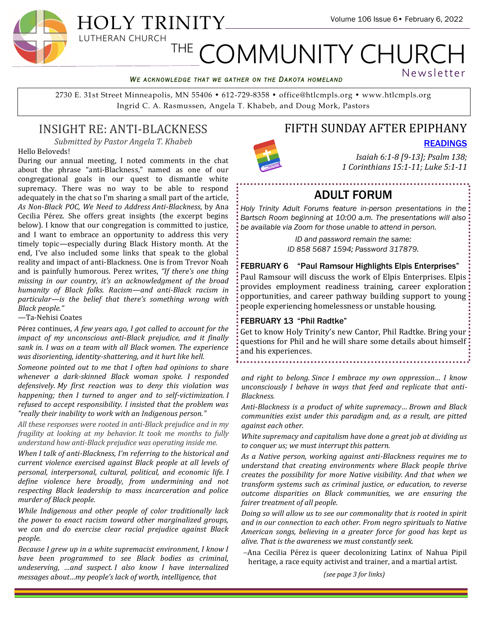#### *WE ACKNOWLEDGE THAT WE GATHER ON THE DAKOTA HOMELAND*

2730 E. 31st Street Minneapolis, MN 55406 • 612-729-8358 • office@htlcmpls.org • www.htlcmpls.org Ingrid C. A. Rasmussen, Angela T. Khabeb, and Doug Mork, Pastors

# INSIGHT RE: ANTI-BLACKNESS

*Submitted by Pastor Angela T. Khabeb*

Hello Beloveds!

During our annual meeting, I noted comments in the chat about the phrase "anti-Blackness," named as one of our congregational goals in our quest to dismantle white supremacy. There was no way to be able to respond adequately in the chat so I'm sharing a small part of the article, *As Non-Black POC, We Need to Address Anti-Blackness*, by Ana Cecilia Pérez. She offers great insights (the excerpt begins below). I know that our congregation is committed to justice, and I want to embrace an opportunity to address this very timely topic—especially during Black History month. At the end, I've also included some links that speak to the global reality and impact of anti-Blackness. One is from Trevor Noah and is painfully humorous. Perez writes, *"If there's one thing missing in our country, it's an acknowledgment of the broad humanity of Black folks. Racism—and anti-Black racism in particular—is the belief that there's something wrong with Black people."*

—Ta-Nehisi Coates

Pérez continues, *A few years ago, I got called to account for the impact of my unconscious anti-Black prejudice, and it finally sank in. I was on a team with all Black women. The experience was disorienting, identity-shattering, and it hurt like hell.*

*Someone pointed out to me that I often had opinions to share whenever a dark-skinned Black woman spoke. I responded defensively. My first reaction was to deny this violation was happening; then I turned to anger and to self-victimization. I refused to accept responsibility. I insisted that the problem was "really their inability to work with an Indigenous person."*

*All these responses were rooted in anti-Black prejudice and in my fragility at looking at my behavior. It took me months to fully understand how anti-Black prejudice was operating inside me.*

*When I talk of anti-Blackness, I'm referring to the historical and current violence exercised against Black people at all levels of personal, interpersonal, cultural, political, and economic life. I define violence here broadly, from undermining and not respecting Black leadership to mass incarceration and police murder of Black people.*

*While Indigenous and other people of color traditionally lack the power to enact racism toward other marginalized groups, we can and do exercise clear racial prejudice against Black people.*

*Because I grew up in a white supremacist environment, I know I have been programmed to see Black bodies as criminal, undeserving, …and suspect. I also know I have internalized messages about…my people's lack of worth, intelligence, that* 

# FIFTH SUNDAY AFTER EPIPHANY

[READINGS](https://htlcmpls.org/site/wp-content/uploads/2022/02/Readings-Fifth-Sunday-after-Epiphany.pdf)

Newsletter

*Isaiah 6:1-8 [9-13]; Psalm 138; 1 Corinthians 15:1-11; Luke 5:1-11*

# ADULT FORUM

*Holy Trinity Adult Forums feature in-person presentations in the Bartsch Room beginning at 10:00 a.m. The presentations will also be available via Zoom for those unable to attend in person.*

> *ID and password remain the same: ID 858 5687 1594; Password 317879.*

FEBRUARY 6 "Paul Ramsour Highlights Elpis Enterprises" Paul Ramsour will discuss the work of Elpis Enterprises. Elpis provides employment readiness training, career exploration opportunities, and career pathway building support to young people experiencing homelessness or unstable housing.

#### FEBRUARY 13 "Phil Radtke"

Get to know Holy Trinity's new Cantor, Phil Radtke. Bring your questions for Phil and he will share some details about himself and his experiences. 

*and right to belong. Since I embrace my own oppression… I know unconsciously I behave in ways that feed and replicate that anti-Blackness.*

*Anti-Blackness is a product of white supremacy… Brown and Black communities exist under this paradigm and, as a result, are pitted against each other.* 

*White supremacy and capitalism have done a great job at dividing us to conquer us; we must interrupt this pattern.*

*As a Native person, working against anti-Blackness requires me to understand that creating environments where Black people thrive creates the possibility for more Native visibility. And that when we transform systems such as criminal justice, or education, to reverse outcome disparities on Black communities, we are ensuring the fairer treatment of all people.*

*Doing so will allow us to see our commonality that is rooted in spirit and in our connection to each other. From negro spirituals to Native American songs, believing in a greater force for good has kept us alive. That is the awareness we must constantly seek.*

−Ana Cecilia Pérez is queer decolonizing Latinx of Nahua Pipil heritage, a race equity activist and trainer, and a martial artist.

*(see page 3 for links)*

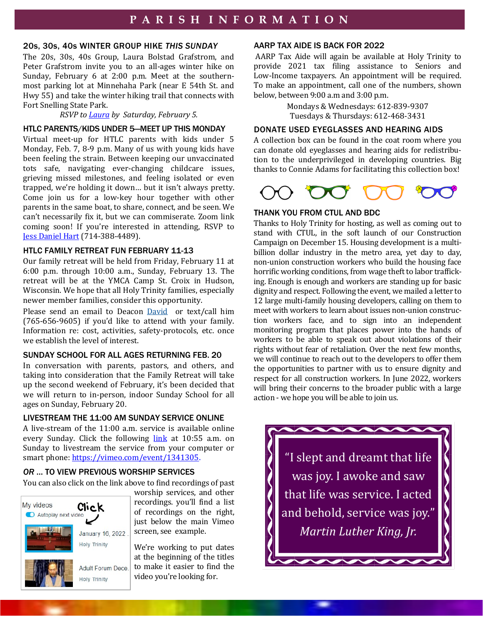### 20s, 30s, 40s WINTER GROUP HIKE *THIS SUNDAY*

The 20s, 30s, 40s Group, Laura Bolstad Grafstrom, and Peter Grafstrom invite you to an all-ages winter hike on Sunday, February 6 at 2:00 p.m. Meet at the southernmost parking lot at Minnehaha Park (near E 54th St. and Hwy 55) and take the winter hiking trail that connects with Fort Snelling State Park.

*RSVP to [Laura](mailto:laurabolstad1@gmail.com) by Saturday, February 5.*

### HTLC PARENTS/KIDS UNDER 5—MEET UP THIS MONDAY

Virtual meet-up for HTLC parents with kids under 5 Monday, Feb. 7, 8-9 p.m. Many of us with young kids have been feeling the strain. Between keeping our unvaccinated tots safe, navigating ever-changing childcare issues, grieving missed milestones, and feeling isolated or even trapped, we're holding it down… but it isn't always pretty. Come join us for a low-key hour together with other parents in the same boat, to share, connect, and be seen. We can't necessarily fix it, but we can commiserate. Zoom link coming soon! If you're interested in attending, RSVP to [Jess Daniel Hart](mailto:jess.a.daniel@gmail.com) (714-388-4489).

#### HTLC FAMILY RETREAT FUN FEBRUARY 11-13

Our family retreat will be held from Friday, February 11 at 6:00 p.m. through 10:00 a.m., Sunday, February 13. The retreat will be at the YMCA Camp St. Croix in Hudson, Wisconsin. We hope that all Holy Trinity families, especially newer member families, consider this opportunity.

Please send an email to Deacon [David](mailto:at%20drojasmartinez@htlcmpls.org) or text/call him (765-656-9605) if you'd like to attend with your family. Information re: cost, activities, safety-protocols, etc. once we establish the level of interest.

### SUNDAY SCHOOL FOR ALL AGES RETURNING FEB. 20

In conversation with parents, pastors, and others, and taking into consideration that the Family Retreat will take up the second weekend of February, it's been decided that we will return to in-person, indoor Sunday School for all ages on Sunday, February 20.

## LIVESTREAM THE 11:00 AM SUNDAY SERVICE ONLINE

A live-stream of the 11:00 a.m. service is available online every Sunday. Click the following [link](https://vimeo.com/event/1341305) at 10:55 a.m. on Sunday to livestream the service from your computer or smart phone: https://vimeo.com/event/1341305.

### *OR* … TO VIEW PREVIOUS WORSHIP SERVICES

You can also click on the link above to find recordings of past



worship services, and other recordings. you'll find a list of recordings on the right, just below the main Vimeo screen, see example.

We're working to put dates at the beginning of the titles to make it easier to find the video you're looking for.

#### AARP TAX AIDE IS BACK FOR 2022

AARP Tax Aide will again be available at Holy Trinity to provide 2021 tax filing assistance to Seniors and Low-Income taxpayers. An appointment will be required. To make an appointment, call one of the numbers, shown below, between 9:00 a.m and 3:00 p.m.

> Mondays & Wednesdays: 612-839-9307 Tuesdays & Thursdays: 612-468-3431

## DONATE USED EYEGLASSES AND HEARING AIDS

A collection box can be found in the coat room where you can donate old eyeglasses and hearing aids for redistribution to the underprivileged in developing countries. Big thanks to Connie Adams for facilitating this collection box!



## THANK YOU FROM CTUL AND BDC

Thanks to Holy Trinity for hosting, as well as coming out to stand with CTUL, in the soft launch of our Construction Campaign on December 15. Housing development is a multibillion dollar industry in the metro area, yet day to day, non-union construction workers who build the housing face horrific working conditions, from wage theft to labor trafficking. Enough is enough and workers are standing up for basic dignity and respect. Following the event, we mailed a letter to 12 large multi-family housing developers, calling on them to meet with workers to learn about issues non-union construction workers face, and to sign into an independent monitoring program that places power into the hands of workers to be able to speak out about violations of their rights without fear of retaliation. Over the next few months, we will continue to reach out to the developers to offer them the opportunities to partner with us to ensure dignity and respect for all construction workers. In June 2022, workers will bring their concerns to the broader public with a large action - we hope you will be able to join us.